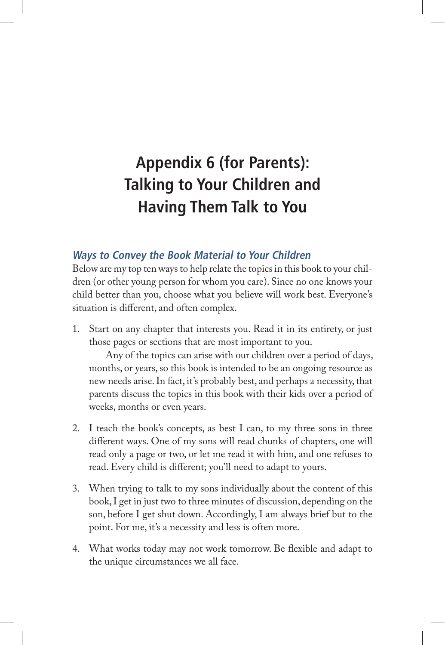## **Appendix 6 (for Parents): Talking to Your Children and Having Them Talk to You**

## **Ways to Convey the Book Material to Your Children**

Below are my top ten ways to help relate the topics in this book to your children (or other young person for whom you care). Since no one knows your child better than you, choose what you believe will work best. Everyone's situation is different, and often complex.

1. Start on any chapter that interests you. Read it in its entirety, or just those pages or sections that are most important to you.

Any of the topics can arise with our children over a period of days, months, or years, so this book is intended to be an ongoing resource as new needs arise. In fact, it's probably best, and perhaps a necessity, that parents discuss the topics in this book with their kids over a period of weeks, months or even years.

- 2. I teach the book's concepts, as best I can, to my three sons in three different ways. One of my sons will read chunks of chapters, one will read only a page or two, or let me read it with him, and one refuses to read. Every child is different; you'll need to adapt to yours.
- 3. When trying to talk to my sons individually about the content of this book, I get in just two to three minutes of discussion, depending on the son, before I get shut down. Accordingly, I am always brief but to the point. For me, it's a necessity and less is often more.
- 4. What works today may not work tomorrow. Be flexible and adapt to the unique circumstances we all face.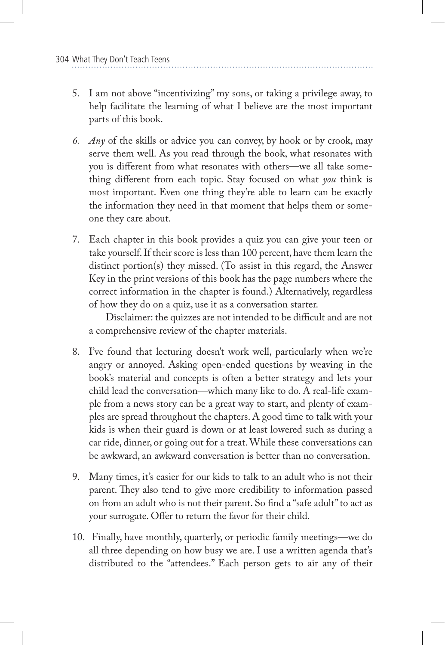- 5. I am not above "incentivizing" my sons, or taking a privilege away, to help facilitate the learning of what I believe are the most important parts of this book.
- *6. Any* of the skills or advice you can convey, by hook or by crook, may serve them well. As you read through the book, what resonates with you is different from what resonates with others—we all take something different from each topic. Stay focused on what *you* think is most important. Even one thing they're able to learn can be exactly the information they need in that moment that helps them or someone they care about.
- 7. Each chapter in this book provides a quiz you can give your teen or take yourself. If their score is less than 100 percent, have them learn the distinct portion(s) they missed. (To assist in this regard, the Answer Key in the print versions of this book has the page numbers where the correct information in the chapter is found.) Alternatively, regardless of how they do on a quiz, use it as a conversation starter.

Disclaimer: the quizzes are not intended to be difficult and are not a comprehensive review of the chapter materials.

- 8. I've found that lecturing doesn't work well, particularly when we're angry or annoyed. Asking open-ended questions by weaving in the book's material and concepts is often a better strategy and lets your child lead the conversation—which many like to do. A real-life example from a news story can be a great way to start, and plenty of examples are spread throughout the chapters. A good time to talk with your kids is when their guard is down or at least lowered such as during a car ride, dinner, or going out for a treat. While these conversations can be awkward, an awkward conversation is better than no conversation.
- 9. Many times, it's easier for our kids to talk to an adult who is not their parent. They also tend to give more credibility to information passed on from an adult who is not their parent. So find a "safe adult" to act as your surrogate. Offer to return the favor for their child.
- 10. Finally, have monthly, quarterly, or periodic family meetings—we do all three depending on how busy we are. I use a written agenda that's distributed to the "attendees." Each person gets to air any of their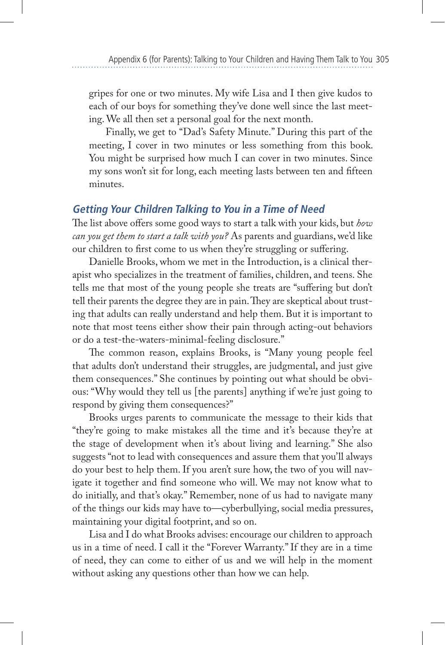gripes for one or two minutes. My wife Lisa and I then give kudos to each of our boys for something they've done well since the last meeting. We all then set a personal goal for the next month.

Finally, we get to "Dad's Safety Minute." During this part of the meeting, I cover in two minutes or less something from this book. You might be surprised how much I can cover in two minutes. Since my sons won't sit for long, each meeting lasts between ten and fifteen minutes.

## **Getting Your Children Talking to You in a Time of Need**

The list above offers some good ways to start a talk with your kids, but *how can you get them to start a talk with you?* As parents and guardians, we'd like our children to first come to us when they're struggling or suffering.

Danielle Brooks, whom we met in the Introduction, is a clinical therapist who specializes in the treatment of families, children, and teens. She tells me that most of the young people she treats are "suffering but don't tell their parents the degree they are in pain. They are skeptical about trusting that adults can really understand and help them. But it is important to note that most teens either show their pain through acting-out behaviors or do a test-the-waters-minimal-feeling disclosure."

The common reason, explains Brooks, is "Many young people feel that adults don't understand their struggles, are judgmental, and just give them consequences." She continues by pointing out what should be obvious: "Why would they tell us [the parents] anything if we're just going to respond by giving them consequences?"

Brooks urges parents to communicate the message to their kids that "they're going to make mistakes all the time and it's because they're at the stage of development when it's about living and learning." She also suggests "not to lead with consequences and assure them that you'll always do your best to help them. If you aren't sure how, the two of you will navigate it together and find someone who will. We may not know what to do initially, and that's okay." Remember, none of us had to navigate many of the things our kids may have to—cyberbullying, social media pressures, maintaining your digital footprint, and so on.

Lisa and I do what Brooks advises: encourage our children to approach us in a time of need. I call it the "Forever Warranty." If they are in a time of need, they can come to either of us and we will help in the moment without asking any questions other than how we can help.